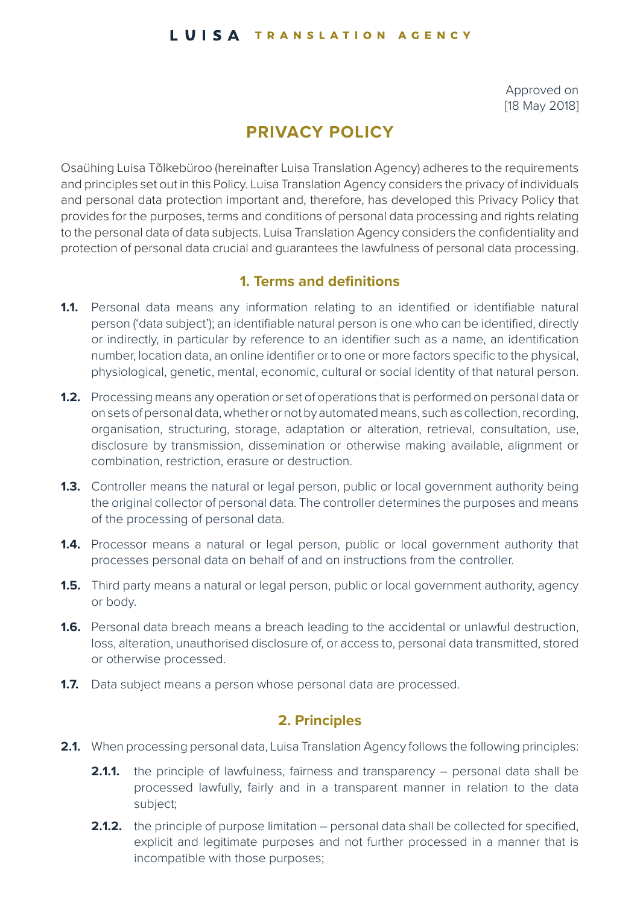#### LUISA TRANSLATION AGENCY

Approved on [18 May 2018]

# **PRIVACY POLICY**

Osaühing Luisa Tõlkebüroo (hereinafter Luisa Translation Agency) adheres to the requirements and principles set out in this Policy. Luisa Translation Agency considers the privacy of individuals and personal data protection important and, therefore, has developed this Privacy Policy that provides for the purposes, terms and conditions of personal data processing and rights relating to the personal data of data subjects. Luisa Translation Agency considers the confidentiality and protection of personal data crucial and guarantees the lawfulness of personal data processing.

# **1. Terms and definitions**

- **1.1.** Personal data means any information relating to an identified or identifiable natural person ('data subject'); an identifiable natural person is one who can be identified, directly or indirectly, in particular by reference to an identifier such as a name, an identification number, location data, an online identifier or to one or more factors specific to the physical, physiological, genetic, mental, economic, cultural or social identity of that natural person.
- **1.2.** Processing means any operation or set of operations that is performed on personal data or on sets of personal data, whether or not by automated means, such as collection, recording, organisation, structuring, storage, adaptation or alteration, retrieval, consultation, use, disclosure by transmission, dissemination or otherwise making available, alignment or combination, restriction, erasure or destruction.
- **1.3.** Controller means the natural or legal person, public or local government authority being the original collector of personal data. The controller determines the purposes and means of the processing of personal data.
- **1.4.** Processor means a natural or legal person, public or local government authority that processes personal data on behalf of and on instructions from the controller.
- **1.5.** Third party means a natural or legal person, public or local government authority, agency or body.
- **1.6.** Personal data breach means a breach leading to the accidental or unlawful destruction, loss, alteration, unauthorised disclosure of, or access to, personal data transmitted, stored or otherwise processed.
- **1.7.** Data subject means a person whose personal data are processed.

### **2. Principles**

- **2.1.** When processing personal data, Luisa Translation Agency follows the following principles:
	- **2.1.1.** the principle of lawfulness, fairness and transparency personal data shall be processed lawfully, fairly and in a transparent manner in relation to the data subject;
	- **2.1.2.** the principle of purpose limitation personal data shall be collected for specified, explicit and legitimate purposes and not further processed in a manner that is incompatible with those purposes;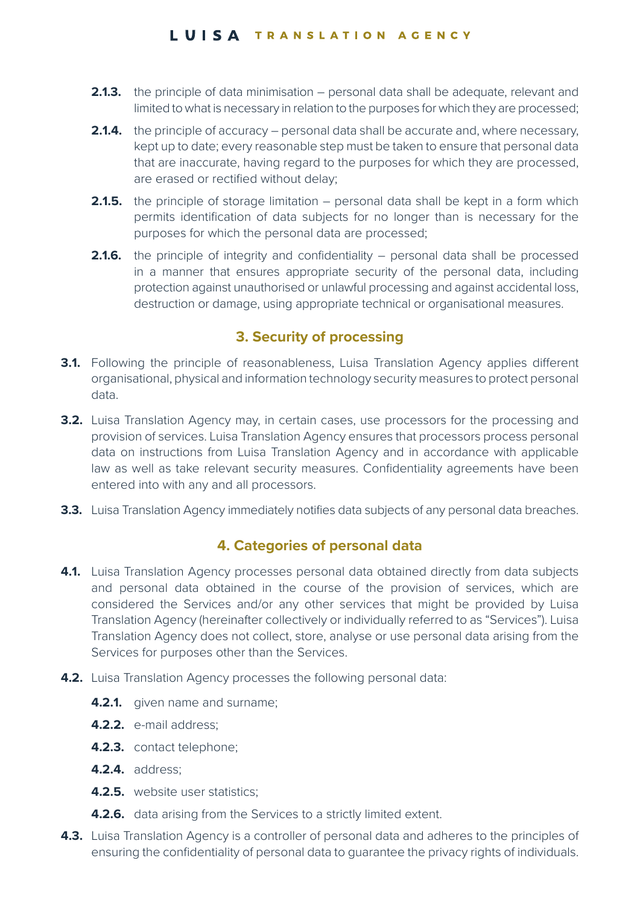#### LUISA TRANSLATION AGENCY

- **2.1.3.** the principle of data minimisation personal data shall be adequate, relevant and limited to what is necessary in relation to the purposes for which they are processed;
- **2.1.4.** the principle of accuracy personal data shall be accurate and, where necessary, kept up to date; every reasonable step must be taken to ensure that personal data that are inaccurate, having regard to the purposes for which they are processed, are erased or rectified without delay;
- **2.1.5.** the principle of storage limitation personal data shall be kept in a form which permits identification of data subjects for no longer than is necessary for the purposes for which the personal data are processed;
- **2.1.6.** the principle of integrity and confidentiality personal data shall be processed in a manner that ensures appropriate security of the personal data, including protection against unauthorised or unlawful processing and against accidental loss, destruction or damage, using appropriate technical or organisational measures.

# **3. Security of processing**

- **3.1.** Following the principle of reasonableness, Luisa Translation Agency applies different organisational, physical and information technology security measures to protect personal data.
- **3.2.** Luisa Translation Agency may, in certain cases, use processors for the processing and provision of services. Luisa Translation Agency ensures that processors process personal data on instructions from Luisa Translation Agency and in accordance with applicable law as well as take relevant security measures. Confidentiality agreements have been entered into with any and all processors.
- **3.3.** Luisa Translation Agency immediately notifies data subjects of any personal data breaches.

# **4. Categories of personal data**

- **4.1.** Luisa Translation Agency processes personal data obtained directly from data subjects and personal data obtained in the course of the provision of services, which are considered the Services and/or any other services that might be provided by Luisa Translation Agency (hereinafter collectively or individually referred to as "Services"). Luisa Translation Agency does not collect, store, analyse or use personal data arising from the Services for purposes other than the Services.
- **4.2.** Luisa Translation Agency processes the following personal data:
	- **4.2.1. given name and surname:**
	- **4.2.2.** e-mail address;
	- **4.2.3.** contact telephone;
	- **4.2.4.** address;
	- **4.2.5.** website user statistics;
	- **4.2.6.** data arising from the Services to a strictly limited extent.
- **4.3.** Luisa Translation Agency is a controller of personal data and adheres to the principles of ensuring the confidentiality of personal data to guarantee the privacy rights of individuals.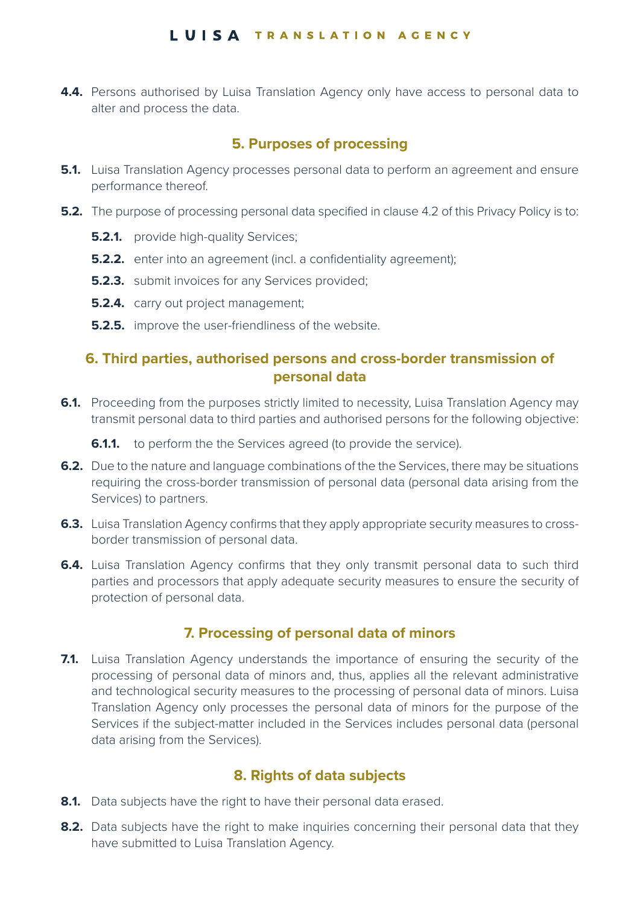#### LUISA TRANSLATION AGENCY

**4.4.** Persons authorised by Luisa Translation Agency only have access to personal data to alter and process the data.

#### **5. Purposes of processing**

- **5.1.** Luisa Translation Agency processes personal data to perform an agreement and ensure performance thereof.
- **5.2.** The purpose of processing personal data specified in clause 4.2 of this Privacy Policy is to:
	- **5.2.1. provide high-quality Services;**
	- **5.2.2.** enter into an agreement (incl. a confidentiality agreement);
	- **5.2.3.** submit invoices for any Services provided;
	- **5.2.4. carry out project management;**
	- **5.2.5.** improve the user-friendliness of the website.

### **6. Third parties, authorised persons and cross-border transmission of personal data**

**6.1.** Proceeding from the purposes strictly limited to necessity, Luisa Translation Agency may transmit personal data to third parties and authorised persons for the following objective:

**6.1.1.** to perform the the Services agreed (to provide the service).

- **6.2.** Due to the nature and language combinations of the the Services, there may be situations requiring the cross-border transmission of personal data (personal data arising from the Services) to partners.
- **6.3.** Luisa Translation Agency confirms that they apply appropriate security measures to crossborder transmission of personal data.
- **6.4.** Luisa Translation Agency confirms that they only transmit personal data to such third parties and processors that apply adequate security measures to ensure the security of protection of personal data.

#### **7. Processing of personal data of minors**

**7.1.** Luisa Translation Agency understands the importance of ensuring the security of the processing of personal data of minors and, thus, applies all the relevant administrative and technological security measures to the processing of personal data of minors. Luisa Translation Agency only processes the personal data of minors for the purpose of the Services if the subject-matter included in the Services includes personal data (personal data arising from the Services).

#### **8. Rights of data subjects**

- **8.1.** Data subjects have the right to have their personal data erased.
- **8.2.** Data subjects have the right to make inquiries concerning their personal data that they have submitted to Luisa Translation Agency.